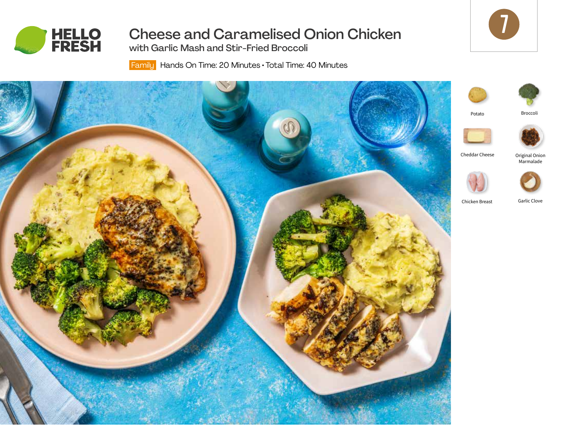

Cheese and Caramelised Onion Chicken

with Garlic Mash and Stir-Fried Broccoli

Family Hands On Time: 20 Minutes • Total Time: 40 Minutes





Broccoli

Original Onion Marmalade

Garlic Clove